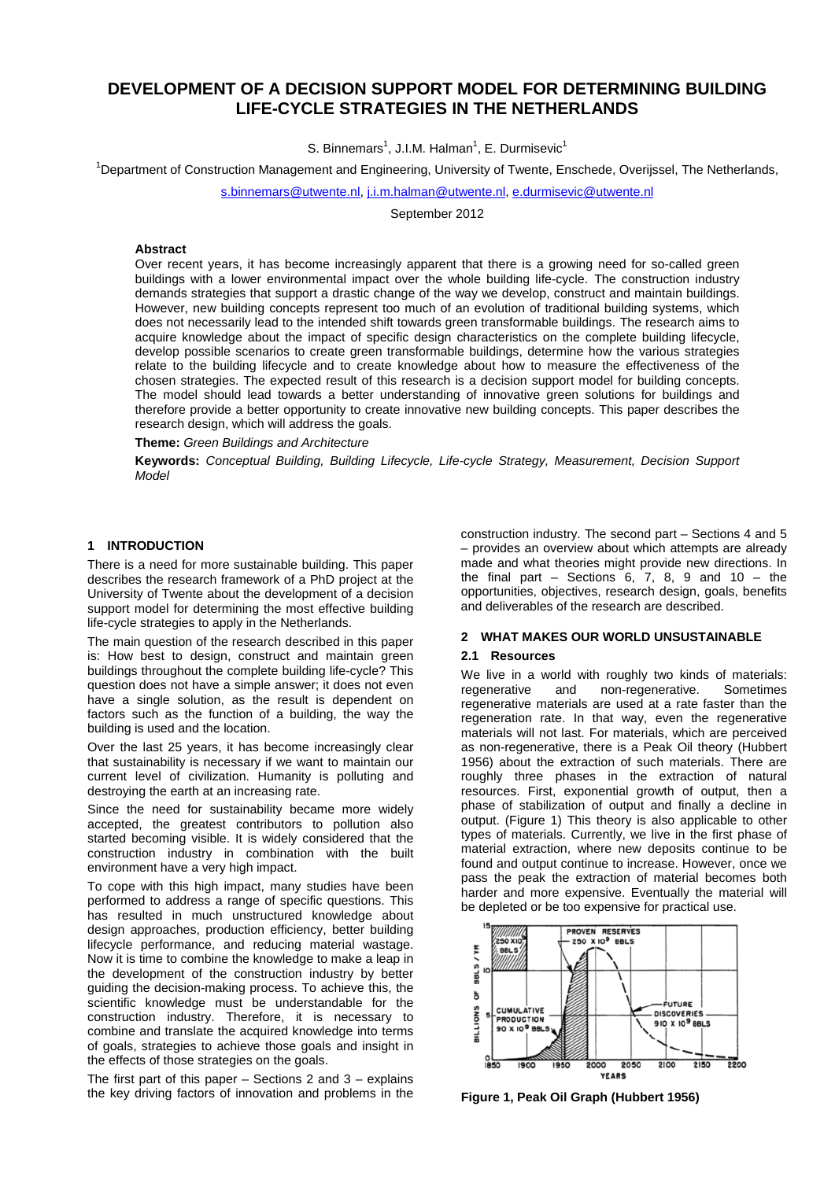# **DEVELOPMENT OF A DECISION SUPPORT MODEL FOR DETERMINING BUILDING LIFE-CYCLE STRATEGIES IN THE NETHERLANDS**

S. Binnemars<sup>1</sup>, J.I.M. Halman<sup>1</sup>, E. Durmisevic<sup>1</sup>

<sup>1</sup>Department of Construction Management and Engineering, University of Twente, Enschede, Overijssel, The Netherlands,

[s.binnemars@utwente.nl,](mailto:s.binnemars@utwente.nl) [j.i.m.halman@utwente.nl,](mailto:j.i.m.halman@utwente.nl) [e.durmisevic@utwente.nl](mailto:e.durmisevic@utwente.nl)

September 2012

#### **Abstract**

Over recent years, it has become increasingly apparent that there is a growing need for so-called green buildings with a lower environmental impact over the whole building life-cycle. The construction industry demands strategies that support a drastic change of the way we develop, construct and maintain buildings. However, new building concepts represent too much of an evolution of traditional building systems, which does not necessarily lead to the intended shift towards green transformable buildings. The research aims to acquire knowledge about the impact of specific design characteristics on the complete building lifecycle, develop possible scenarios to create green transformable buildings, determine how the various strategies relate to the building lifecycle and to create knowledge about how to measure the effectiveness of the chosen strategies. The expected result of this research is a decision support model for building concepts. The model should lead towards a better understanding of innovative green solutions for buildings and therefore provide a better opportunity to create innovative new building concepts. This paper describes the research design, which will address the goals.

**Theme:** *Green Buildings and Architecture*

**Keywords:** *Conceptual Building, Building Lifecycle, Life-cycle Strategy, Measurement, Decision Support Model*

### **1 INTRODUCTION**

There is a need for more sustainable building. This paper describes the research framework of a PhD project at the University of Twente about the development of a decision support model for determining the most effective building life-cycle strategies to apply in the Netherlands.

The main question of the research described in this paper is: How best to design, construct and maintain green buildings throughout the complete building life-cycle? This question does not have a simple answer; it does not even have a single solution, as the result is dependent on factors such as the function of a building, the way the building is used and the location.

Over the last 25 years, it has become increasingly clear that sustainability is necessary if we want to maintain our current level of civilization. Humanity is polluting and destroying the earth at an increasing rate.

Since the need for sustainability became more widely accepted, the greatest contributors to pollution also started becoming visible. It is widely considered that the construction industry in combination with the built environment have a very high impact.

To cope with this high impact, many studies have been performed to address a range of specific questions. This has resulted in much unstructured knowledge about design approaches, production efficiency, better building lifecycle performance, and reducing material wastage. Now it is time to combine the knowledge to make a leap in the development of the construction industry by better guiding the decision-making process. To achieve this, the scientific knowledge must be understandable for the construction industry. Therefore, it is necessary to combine and translate the acquired knowledge into terms of goals, strategies to achieve those goals and insight in the effects of those strategies on the goals.

The first part of this paper  $-$  Sections 2 and 3  $-$  explains the key driving factors of innovation and problems in the construction industry. The second part – Sections 4 and 5 – provides an overview about which attempts are already made and what theories might provide new directions. In the final part  $-$  Sections 6, 7, 8, 9 and 10  $-$  the opportunities, objectives, research design, goals, benefits and deliverables of the research are described.

## **2 WHAT MAKES OUR WORLD UNSUSTAINABLE**

#### **2.1 Resources**

We live in a world with roughly two kinds of materials:<br>regenerative and non-regenerative. Sometimes non-regenerative. regenerative materials are used at a rate faster than the regeneration rate. In that way, even the regenerative materials will not last. For materials, which are perceived as non-regenerative, there is a Peak Oil theory [\(Hubbert](#page-5-0)  [1956\)](#page-5-0) about the extraction of such materials. There are roughly three phases in the extraction of natural resources. First, exponential growth of output, then a phase of stabilization of output and finally a decline in output. [\(Figure 1\)](#page-0-0) This theory is also applicable to other types of materials. Currently, we live in the first phase of material extraction, where new deposits continue to be found and output continue to increase. However, once we pass the peak the extraction of material becomes both harder and more expensive. Eventually the material will be depleted or be too expensive for practical use.



<span id="page-0-0"></span>**Figure 1, Peak Oil Graph [\(Hubbert 1956\)](#page-5-0)**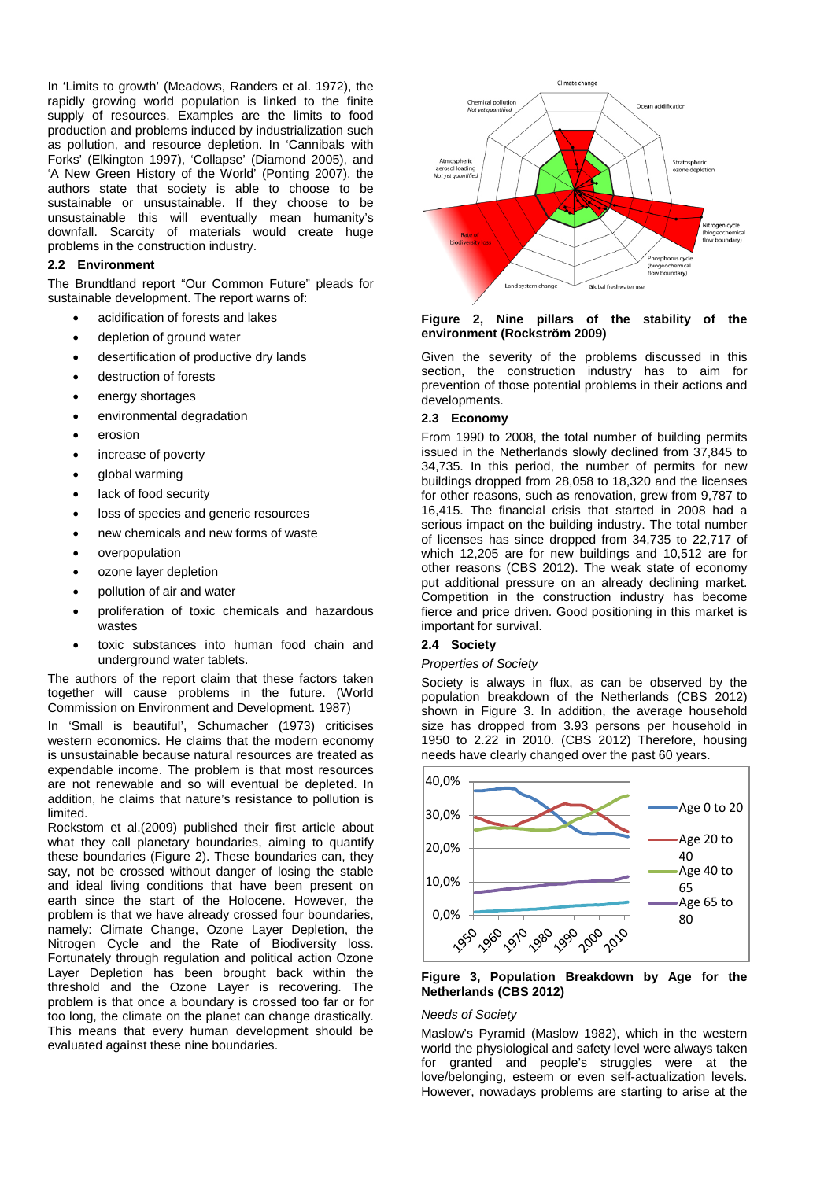In 'Limits to growth' [\(Meadows, Randers et al. 1972\)](#page-5-1), the rapidly growing world population is linked to the finite supply of resources. Examples are the limits to food production and problems induced by industrialization such as pollution, and resource depletion. In 'Cannibals with Forks' [\(Elkington 1997\)](#page-5-2), 'Collapse' [\(Diamond 2005\)](#page-5-3), and 'A New Green History of the World' [\(Ponting 2007\)](#page-5-4), the authors state that society is able to choose to be sustainable or unsustainable. If they choose to be unsustainable this will eventually mean humanity's downfall. Scarcity of materials would create huge problems in the construction industry.

### **2.2 Environment**

The Brundtland report "Our Common Future" pleads for sustainable development. The report warns of:

- acidification of forests and lakes
- depletion of ground water
- desertification of productive dry lands
- destruction of forests
- energy shortages
- environmental degradation
- erosion
- increase of poverty
- global warming
- lack of food security
- loss of species and generic resources
- new chemicals and new forms of waste
- overpopulation
- ozone layer depletion
- pollution of air and water
- proliferation of toxic chemicals and hazardous wastes
- toxic substances into human food chain and underground water tablets.

The authors of the report claim that these factors taken together will cause problems in the future. [\(World](#page-5-5)  [Commission on Environment and Development. 1987\)](#page-5-5)

In 'Small is beautiful', Schumacher [\(1973\)](#page-5-6) criticises western economics. He claims that the modern economy is unsustainable because natural resources are treated as expendable income. The problem is that most resources are not renewable and so will eventual be depleted. In addition, he claims that nature's resistance to pollution is limited.

Rockstom et al.[\(2009\)](#page-5-7) published their first article about what they call planetary boundaries, aiming to quantify these boundaries [\(Figure 2\)](#page-1-0). These boundaries can, they say, not be crossed without danger of losing the stable and ideal living conditions that have been present on earth since the start of the Holocene. However, the problem is that we have already crossed four boundaries, namely: Climate Change, Ozone Layer Depletion, the Nitrogen Cycle and the Rate of Biodiversity loss. Fortunately through regulation and political action Ozone Layer Depletion has been brought back within the threshold and the Ozone Layer is recovering. The problem is that once a boundary is crossed too far or for too long, the climate on the planet can change drastically. This means that every human development should be evaluated against these nine boundaries.



#### <span id="page-1-0"></span>**Figure 2, Nine pillars of the stability of the environment [\(Rockström 2009\)](#page-5-7)**

Given the severity of the problems discussed in this section, the construction industry has to aim for prevention of those potential problems in their actions and developments.

### **2.3 Economy**

From 1990 to 2008, the total number of building permits issued in the Netherlands slowly declined from 37,845 to 34,735. In this period, the number of permits for new buildings dropped from 28,058 to 18,320 and the licenses for other reasons, such as renovation, grew from 9,787 to 16,415. The financial crisis that started in 2008 had a serious impact on the building industry. The total number of licenses has since dropped from 34,735 to 22,717 of which 12,205 are for new buildings and 10,512 are for other reasons [\(CBS 2012\)](#page-5-8). The weak state of economy put additional pressure on an already declining market. Competition in the construction industry has become fierce and price driven. Good positioning in this market is important for survival.

### **2.4 Society**

#### *Properties of Society*

Society is always in flux, as can be observed by the population breakdown of the Netherlands [\(CBS 2012\)](#page-5-9) shown in [Figure 3.](#page-1-1) In addition, the average household size has dropped from 3.93 persons per household in 1950 to 2.22 in 2010. [\(CBS 2012\)](#page-5-10) Therefore, housing needs have clearly changed over the past 60 years.



#### <span id="page-1-1"></span>**Figure 3, Population Breakdown by Age for the Netherlands [\(CBS 2012\)](#page-5-9)**

#### *Needs of Society*

Maslow's Pyramid [\(Maslow 1982\)](#page-5-11), which in the western world the physiological and safety level were always taken for granted and people's struggles were at the love/belonging, esteem or even self-actualization levels. However, nowadays problems are starting to arise at the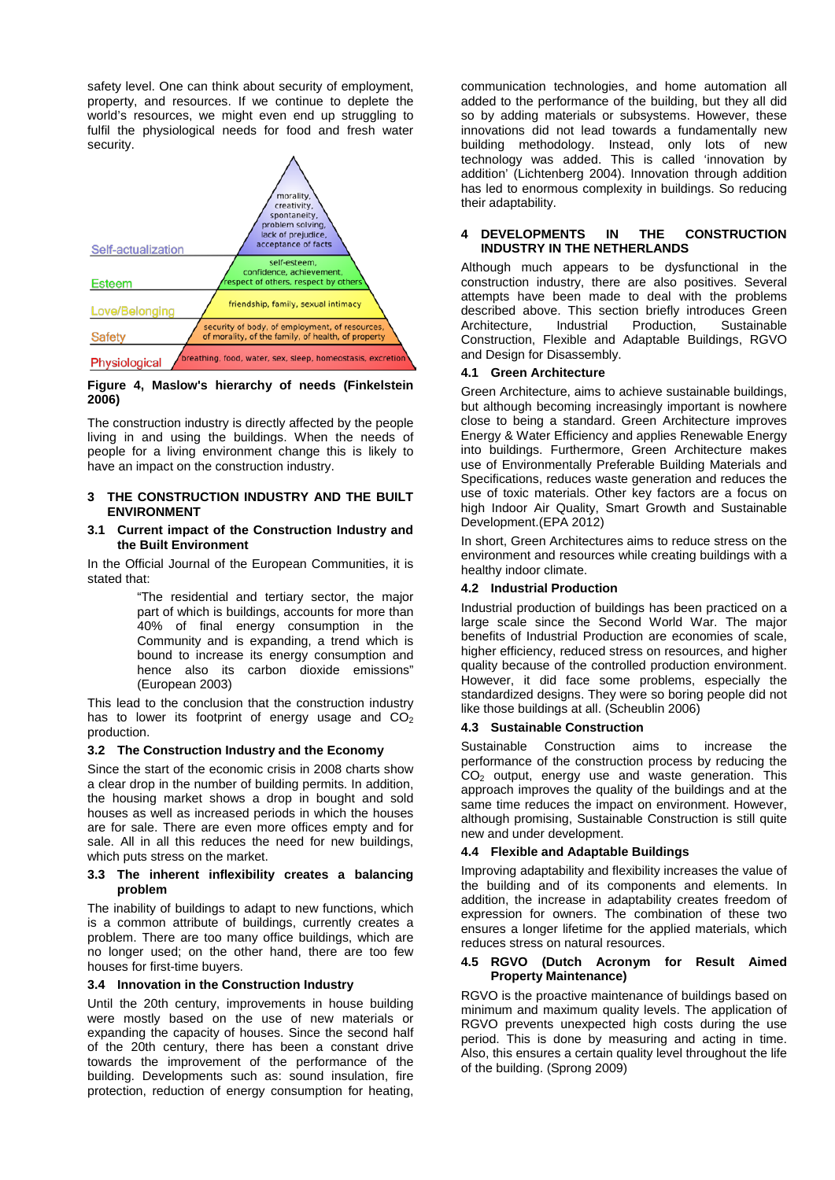safety level. One can think about security of employment, property, and resources. If we continue to deplete the world's resources, we might even end up struggling to fulfil the physiological needs for food and fresh water security.



#### **Figure 4, Maslow's hierarchy of needs [\(Finkelstein](#page-5-12)  [2006\)](#page-5-12)**

The construction industry is directly affected by the people living in and using the buildings. When the needs of people for a living environment change this is likely to have an impact on the construction industry.

### **3 THE CONSTRUCTION INDUSTRY AND THE BUILT ENVIRONMENT**

### **3.1 Current impact of the Construction Industry and the Built Environment**

In the Official Journal of the European Communities, it is stated that:

> "The residential and tertiary sector, the major part of which is buildings, accounts for more than 40% of final energy consumption in the Community and is expanding, a trend which is bound to increase its energy consumption and hence also its carbon dioxide emissions" [\(European 2003\)](#page-5-13)

This lead to the conclusion that the construction industry has to lower its footprint of energy usage and  $CO<sub>2</sub>$ production.

### **3.2 The Construction Industry and the Economy**

Since the start of the economic crisis in 2008 charts show a clear drop in the number of building permits. In addition, the housing market shows a drop in bought and sold houses as well as increased periods in which the houses are for sale. There are even more offices empty and for sale. All in all this reduces the need for new buildings, which puts stress on the market.

#### **3.3 The inherent inflexibility creates a balancing problem**

The inability of buildings to adapt to new functions, which is a common attribute of buildings, currently creates a problem. There are too many office buildings, which are no longer used; on the other hand, there are too few houses for first-time buyers.

## **3.4 Innovation in the Construction Industry**

Until the 20th century, improvements in house building were mostly based on the use of new materials or expanding the capacity of houses. Since the second half of the 20th century, there has been a constant drive towards the improvement of the performance of the building. Developments such as: sound insulation, fire protection, reduction of energy consumption for heating,

communication technologies, and home automation all added to the performance of the building, but they all did so by adding materials or subsystems. However, these innovations did not lead towards a fundamentally new building methodology. Instead, only lots of new technology was added. This is called 'innovation by addition' [\(Lichtenberg 2004\)](#page-5-14). Innovation through addition has led to enormous complexity in buildings. So reducing their adaptability.

### **4 DEVELOPMENTS IN THE CONSTRUCTION INDUSTRY IN THE NETHERLANDS**

Although much appears to be dysfunctional in the construction industry, there are also positives. Several attempts have been made to deal with the problems described above. This section briefly introduces Green Architecture, Industrial Production, Sustainable Construction, Flexible and Adaptable Buildings, RGVO and Design for Disassembly.

### **4.1 Green Architecture**

Green Architecture, aims to achieve sustainable buildings, but although becoming increasingly important is nowhere close to being a standard. Green Architecture improves Energy & Water Efficiency and applies Renewable Energy into buildings. Furthermore, Green Architecture makes use of Environmentally Preferable Building Materials and Specifications, reduces waste generation and reduces the use of toxic materials. Other key factors are a focus on high Indoor Air Quality, Smart Growth and Sustainable Development.[\(EPA 2012\)](#page-5-15)

In short, Green Architectures aims to reduce stress on the environment and resources while creating buildings with a healthy indoor climate.

### **4.2 Industrial Production**

Industrial production of buildings has been practiced on a large scale since the Second World War. The major benefits of Industrial Production are economies of scale, higher efficiency, reduced stress on resources, and higher quality because of the controlled production environment. However, it did face some problems, especially the standardized designs. They were so boring people did not like those buildings at all. [\(Scheublin 2006\)](#page-5-16)

### **4.3 Sustainable Construction**

Sustainable Construction aims to increase the performance of the construction process by reducing the  $CO<sub>2</sub>$  output, energy use and waste generation. This approach improves the quality of the buildings and at the same time reduces the impact on environment. However, although promising, Sustainable Construction is still quite new and under development.

### **4.4 Flexible and Adaptable Buildings**

Improving adaptability and flexibility increases the value of the building and of its components and elements. In addition, the increase in adaptability creates freedom of expression for owners. The combination of these two ensures a longer lifetime for the applied materials, which reduces stress on natural resources.

#### **4.5 RGVO (Dutch Acronym for Result Aimed Property Maintenance)**

RGVO is the proactive maintenance of buildings based on minimum and maximum quality levels. The application of RGVO prevents unexpected high costs during the use period. This is done by measuring and acting in time. Also, this ensures a certain quality level throughout the life of the building. [\(Sprong 2009\)](#page-5-17)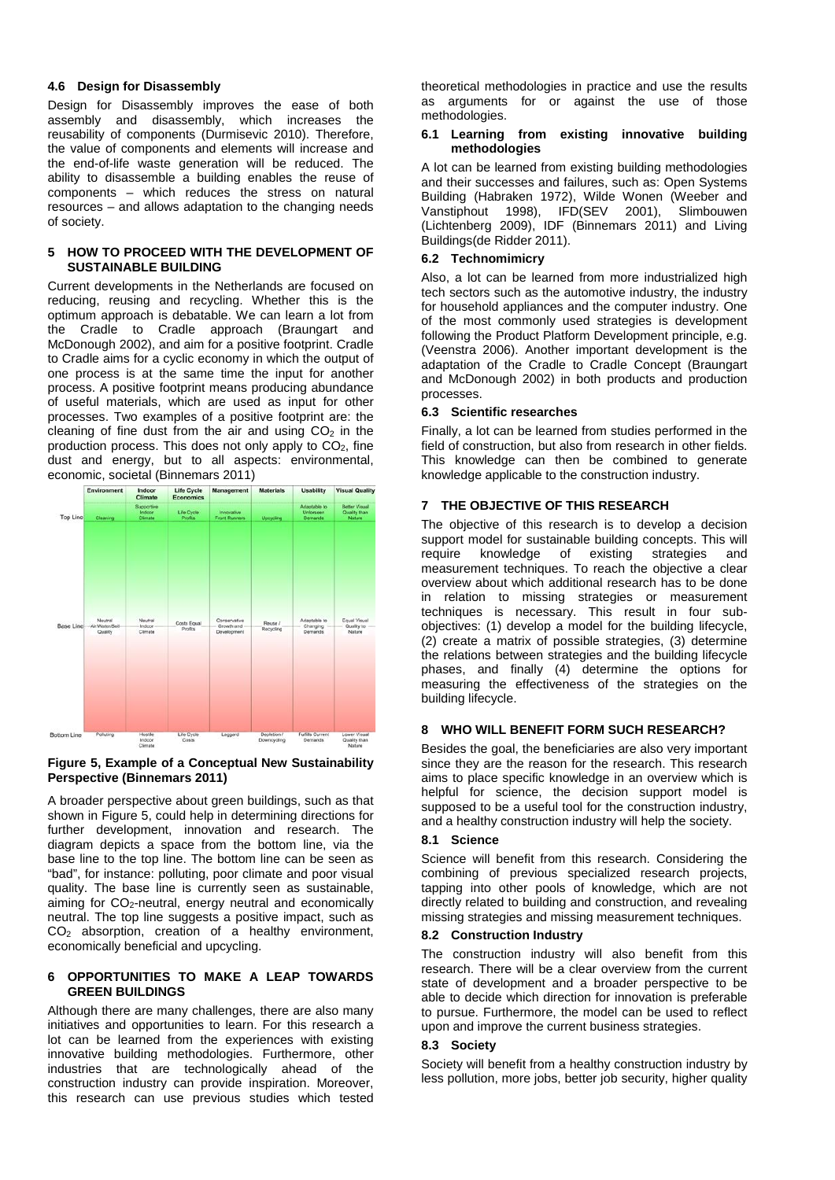#### **4.6 Design for Disassembly**

Design for Disassembly improves the ease of both assembly and disassembly, which increases the reusability of components [\(Durmisevic 2010\)](#page-5-18). Therefore, the value of components and elements will increase and the end-of-life waste generation will be reduced. The ability to disassemble a building enables the reuse of components – which reduces the stress on natural resources – and allows adaptation to the changing needs of society.

### **5 HOW TO PROCEED WITH THE DEVELOPMENT OF SUSTAINABLE BUILDING**

Current developments in the Netherlands are focused on reducing, reusing and recycling. Whether this is the optimum approach is debatable. We can learn a lot from the Cradle to Cradle approach [\(Braungart and](#page-5-19)  [McDonough 2002\)](#page-5-19), and aim for a positive footprint. Cradle to Cradle aims for a cyclic economy in which the output of one process is at the same time the input for another process. A positive footprint means producing abundance of useful materials, which are used as input for other processes. Two examples of a positive footprint are: the cleaning of fine dust from the air and using  $CO<sub>2</sub>$  in the production process. This does not only apply to  $CO<sub>2</sub>$ , fine dust and energy, but to all aspects: environmental, economic, societal [\(Binnemars 2011\)](#page-5-20)



#### <span id="page-3-0"></span>**Figure 5, Example of a Conceptual New Sustainability Perspective [\(Binnemars 2011\)](#page-5-20)**

A broader perspective about green buildings, such as that shown in [Figure 5,](#page-3-0) could help in determining directions for further development, innovation and research. The diagram depicts a space from the bottom line, via the base line to the top line. The bottom line can be seen as "bad", for instance: polluting, poor climate and poor visual quality. The base line is currently seen as sustainable, aiming for  $CO<sub>2</sub>$ -neutral, energy neutral and economically neutral. The top line suggests a positive impact, such as  $CO<sub>2</sub>$  absorption, creation of a healthy environment, economically beneficial and upcycling.

#### **6 OPPORTUNITIES TO MAKE A LEAP TOWARDS GREEN BUILDINGS**

Although there are many challenges, there are also many initiatives and opportunities to learn. For this research a lot can be learned from the experiences with existing innovative building methodologies. Furthermore, other industries that are technologically ahead of the construction industry can provide inspiration. Moreover, this research can use previous studies which tested

theoretical methodologies in practice and use the results as arguments for or against the use of those methodologies.

### **6.1 Learning from existing innovative building methodologies**

A lot can be learned from existing building methodologies and their successes and failures, such as: Open Systems Building [\(Habraken 1972\)](#page-5-21), Wilde Wonen [\(Weeber and](#page-5-22)  [Vanstiphout 1998\)](#page-5-22), IFD[\(SEV 2001\)](#page-5-23), Slimbouwen [\(Lichtenberg 2009\)](#page-5-24), IDF (Binnemars  $2011$ ) and Living Buildings[\(de Ridder 2011\)](#page-5-25).

### **6.2 Technomimicry**

Also, a lot can be learned from more industrialized high tech sectors such as the automotive industry, the industry for household appliances and the computer industry. One of the most commonly used strategies is development following the Product Platform Development principle, e.g. [\(Veenstra 2006\)](#page-5-26). Another important development is the adaptation of the Cradle to Cradle Concept [\(Braungart](#page-5-19)  [and McDonough 2002\)](#page-5-19) in both products and production processes.

### **6.3 Scientific researches**

Finally, a lot can be learned from studies performed in the field of construction, but also from research in other fields. This knowledge can then be combined to generate knowledge applicable to the construction industry.

### **7 THE OBJECTIVE OF THIS RESEARCH**

The objective of this research is to develop a decision support model for sustainable building concepts. This will require knowledge of existing strategies and measurement techniques. To reach the objective a clear overview about which additional research has to be done in relation to missing strategies or measurement techniques is necessary. This result in four subobjectives: (1) develop a model for the building lifecycle, (2) create a matrix of possible strategies, (3) determine the relations between strategies and the building lifecycle phases, and finally (4) determine the options for measuring the effectiveness of the strategies on the building lifecycle.

### **8 WHO WILL BENEFIT FORM SUCH RESEARCH?**

Besides the goal, the beneficiaries are also very important since they are the reason for the research. This research aims to place specific knowledge in an overview which is helpful for science, the decision support model is supposed to be a useful tool for the construction industry, and a healthy construction industry will help the society.

## **8.1 Science**

Science will benefit from this research. Considering the combining of previous specialized research projects, tapping into other pools of knowledge, which are not directly related to building and construction, and revealing missing strategies and missing measurement techniques.

#### **8.2 Construction Industry**

The construction industry will also benefit from this research. There will be a clear overview from the current state of development and a broader perspective to be able to decide which direction for innovation is preferable to pursue. Furthermore, the model can be used to reflect upon and improve the current business strategies.

#### **8.3 Society**

Society will benefit from a healthy construction industry by less pollution, more jobs, better job security, higher quality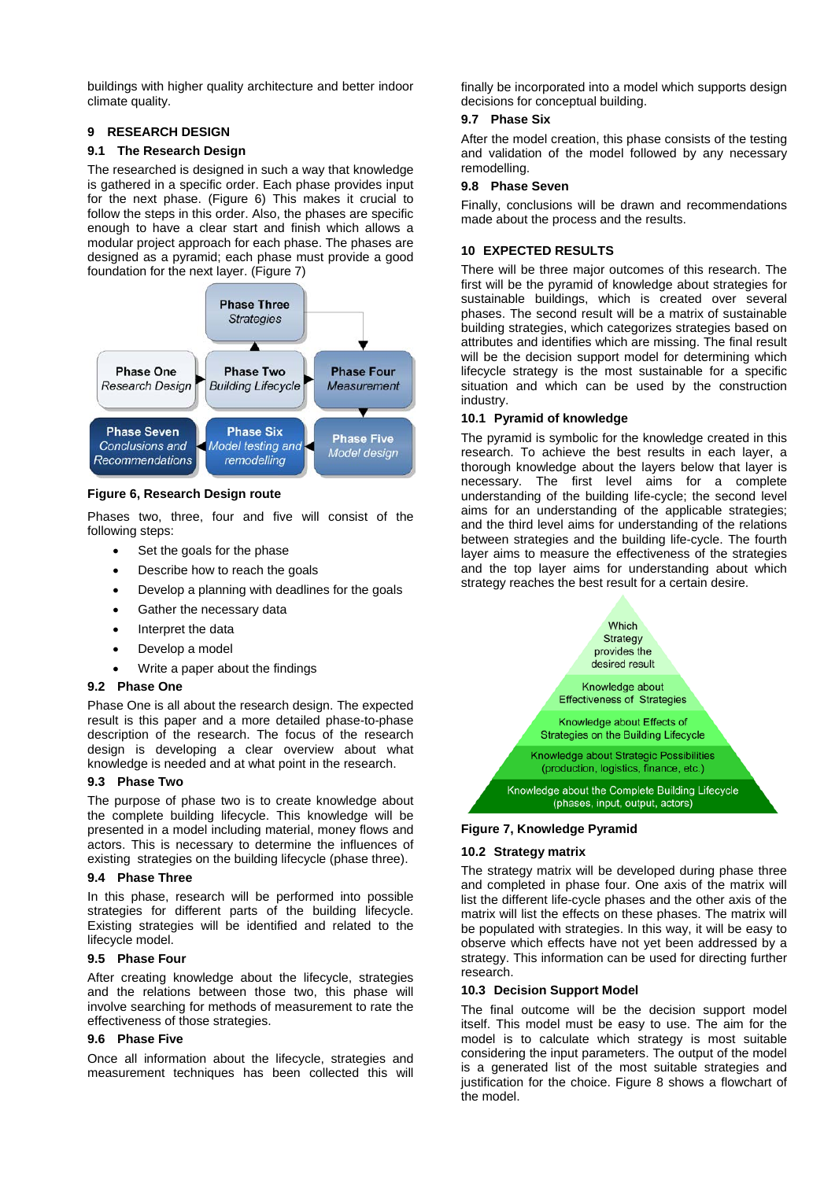buildings with higher quality architecture and better indoor climate quality.

## **9 RESEARCH DESIGN**

### **9.1 The Research Design**

The researched is designed in such a way that knowledge is gathered in a specific order. Each phase provides input for the next phase. [\(Figure 6\)](#page-4-0) This makes it crucial to follow the steps in this order. Also, the phases are specific enough to have a clear start and finish which allows a modular project approach for each phase. The phases are designed as a pyramid; each phase must provide a good foundation for the next layer. [\(Figure 7\)](#page-4-1)



### <span id="page-4-0"></span>**Figure 6, Research Design route**

Phases two, three, four and five will consist of the following steps:

- Set the goals for the phase
- Describe how to reach the goals
- Develop a planning with deadlines for the goals
- Gather the necessary data
- Interpret the data
- Develop a model
- Write a paper about the findings

### **9.2 Phase One**

Phase One is all about the research design. The expected result is this paper and a more detailed phase-to-phase description of the research. The focus of the research design is developing a clear overview about what knowledge is needed and at what point in the research.

### **9.3 Phase Two**

The purpose of phase two is to create knowledge about the complete building lifecycle. This knowledge will be presented in a model including material, money flows and actors. This is necessary to determine the influences of existing strategies on the building lifecycle (phase three).

### **9.4 Phase Three**

In this phase, research will be performed into possible strategies for different parts of the building lifecycle. Existing strategies will be identified and related to the lifecycle model.

### **9.5 Phase Four**

After creating knowledge about the lifecycle, strategies and the relations between those two, this phase will involve searching for methods of measurement to rate the effectiveness of those strategies.

### **9.6 Phase Five**

Once all information about the lifecycle, strategies and measurement techniques has been collected this will

finally be incorporated into a model which supports design decisions for conceptual building.

## **9.7 Phase Six**

After the model creation, this phase consists of the testing and validation of the model followed by any necessary remodelling.

### **9.8 Phase Seven**

Finally, conclusions will be drawn and recommendations made about the process and the results.

## **10 EXPECTED RESULTS**

There will be three major outcomes of this research. The first will be the pyramid of knowledge about strategies for sustainable buildings, which is created over several phases. The second result will be a matrix of sustainable building strategies, which categorizes strategies based on attributes and identifies which are missing. The final result will be the decision support model for determining which lifecycle strategy is the most sustainable for a specific situation and which can be used by the construction industry.

## **10.1 Pyramid of knowledge**

The pyramid is symbolic for the knowledge created in this research. To achieve the best results in each layer, a thorough knowledge about the layers below that layer is necessary. The first level aims for a complete understanding of the building life-cycle; the second level aims for an understanding of the applicable strategies; and the third level aims for understanding of the relations between strategies and the building life-cycle. The fourth layer aims to measure the effectiveness of the strategies and the top layer aims for understanding about which strategy reaches the best result for a certain desire.



## <span id="page-4-1"></span>**Figure 7, Knowledge Pyramid**

## **10.2 Strategy matrix**

The strategy matrix will be developed during phase three and completed in phase four. One axis of the matrix will list the different life-cycle phases and the other axis of the matrix will list the effects on these phases. The matrix will be populated with strategies. In this way, it will be easy to observe which effects have not yet been addressed by a strategy. This information can be used for directing further research.

## **10.3 Decision Support Model**

The final outcome will be the decision support model itself. This model must be easy to use. The aim for the model is to calculate which strategy is most suitable considering the input parameters. The output of the model is a generated list of the most suitable strategies and justification for the choice. [Figure 8](#page-5-27) shows a flowchart of the model.